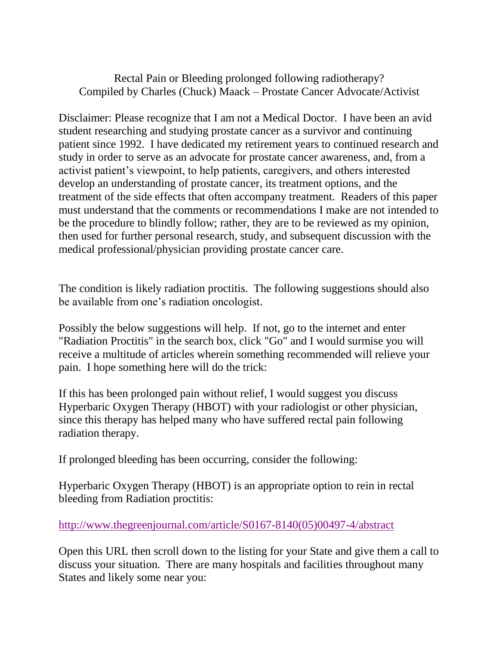## Rectal Pain or Bleeding prolonged following radiotherapy? Compiled by Charles (Chuck) Maack – Prostate Cancer Advocate/Activist

Disclaimer: Please recognize that I am not a Medical Doctor. I have been an avid student researching and studying prostate cancer as a survivor and continuing patient since 1992. I have dedicated my retirement years to continued research and study in order to serve as an advocate for prostate cancer awareness, and, from a activist patient's viewpoint, to help patients, caregivers, and others interested develop an understanding of prostate cancer, its treatment options, and the treatment of the side effects that often accompany treatment. Readers of this paper must understand that the comments or recommendations I make are not intended to be the procedure to blindly follow; rather, they are to be reviewed as my opinion, then used for further personal research, study, and subsequent discussion with the medical professional/physician providing prostate cancer care.

The condition is likely radiation proctitis. The following suggestions should also be available from one's radiation oncologist.

Possibly the below suggestions will help. If not, go to the internet and enter "Radiation Proctitis" in the search box, click "Go" and I would surmise you will receive a multitude of articles wherein something recommended will relieve your pain. I hope something here will do the trick:

If this has been prolonged pain without relief, I would suggest you discuss Hyperbaric Oxygen Therapy (HBOT) with your radiologist or other physician, since this therapy has helped many who have suffered rectal pain following radiation therapy.

If prolonged bleeding has been occurring, consider the following:

Hyperbaric Oxygen Therapy (HBOT) is an appropriate option to rein in rectal bleeding from Radiation proctitis:

[http://www.thegreenjournal.com/article/S0167-8140\(05\)00497-4/abstract](http://www.thegreenjournal.com/article/S0167-8140(05)00497-4/abstract)

Open this URL then scroll down to the listing for your State and give them a call to discuss your situation. There are many hospitals and facilities throughout many States and likely some near you: